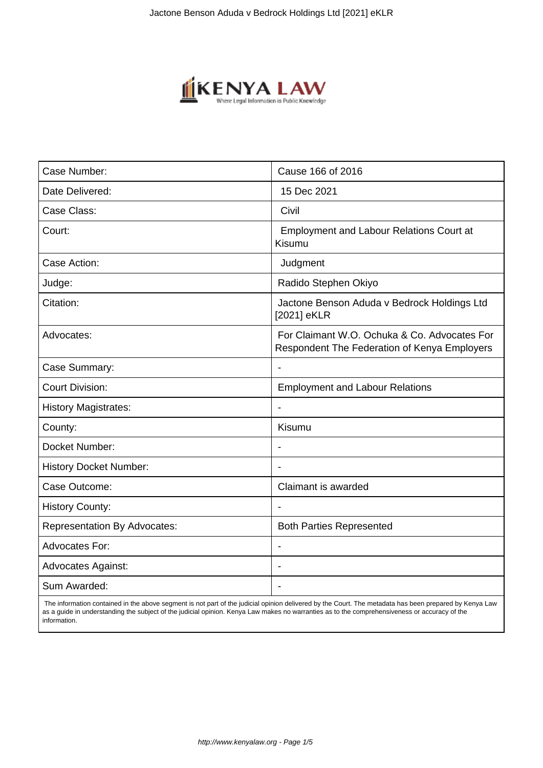

| Case Number:                        | Cause 166 of 2016                                                                            |
|-------------------------------------|----------------------------------------------------------------------------------------------|
| Date Delivered:                     | 15 Dec 2021                                                                                  |
| Case Class:                         | Civil                                                                                        |
| Court:                              | <b>Employment and Labour Relations Court at</b><br>Kisumu                                    |
| Case Action:                        | Judgment                                                                                     |
| Judge:                              | Radido Stephen Okiyo                                                                         |
| Citation:                           | Jactone Benson Aduda v Bedrock Holdings Ltd<br>[2021] eKLR                                   |
| Advocates:                          | For Claimant W.O. Ochuka & Co. Advocates For<br>Respondent The Federation of Kenya Employers |
| Case Summary:                       |                                                                                              |
| <b>Court Division:</b>              | <b>Employment and Labour Relations</b>                                                       |
| <b>History Magistrates:</b>         | $\blacksquare$                                                                               |
| County:                             | Kisumu                                                                                       |
| Docket Number:                      |                                                                                              |
| <b>History Docket Number:</b>       |                                                                                              |
| Case Outcome:                       | Claimant is awarded                                                                          |
| <b>History County:</b>              |                                                                                              |
| <b>Representation By Advocates:</b> | <b>Both Parties Represented</b>                                                              |
| <b>Advocates For:</b>               |                                                                                              |
| <b>Advocates Against:</b>           |                                                                                              |
| Sum Awarded:                        |                                                                                              |

 The information contained in the above segment is not part of the judicial opinion delivered by the Court. The metadata has been prepared by Kenya Law as a guide in understanding the subject of the judicial opinion. Kenya Law makes no warranties as to the comprehensiveness or accuracy of the information.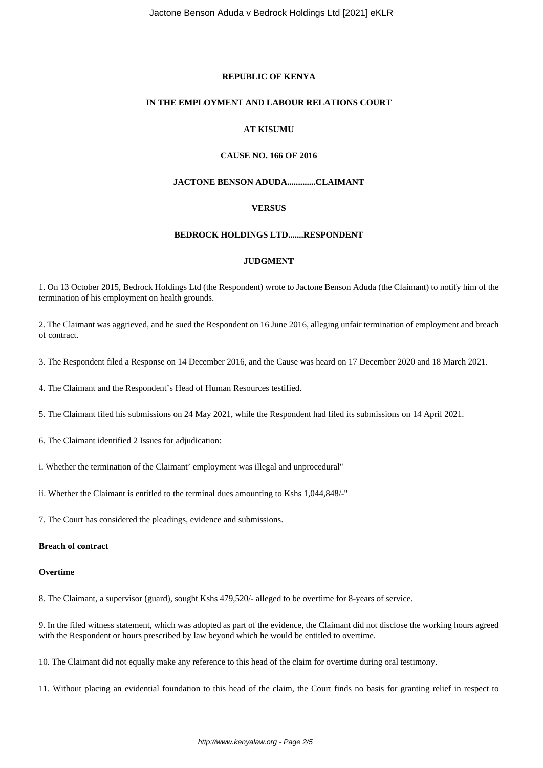## **REPUBLIC OF KENYA**

## **IN THE EMPLOYMENT AND LABOUR RELATIONS COURT**

# **AT KISUMU**

## **CAUSE NO. 166 OF 2016**

### **JACTONE BENSON ADUDA.............CLAIMANT**

## **VERSUS**

# **BEDROCK HOLDINGS LTD.......RESPONDENT**

#### **JUDGMENT**

1. On 13 October 2015, Bedrock Holdings Ltd (the Respondent) wrote to Jactone Benson Aduda (the Claimant) to notify him of the termination of his employment on health grounds.

2. The Claimant was aggrieved, and he sued the Respondent on 16 June 2016, alleging unfair termination of employment and breach of contract.

3. The Respondent filed a Response on 14 December 2016, and the Cause was heard on 17 December 2020 and 18 March 2021.

4. The Claimant and the Respondent's Head of Human Resources testified.

5. The Claimant filed his submissions on 24 May 2021, while the Respondent had filed its submissions on 14 April 2021.

6. The Claimant identified 2 Issues for adjudication:

i. Whether the termination of the Claimant' employment was illegal and unprocedural"

ii. Whether the Claimant is entitled to the terminal dues amounting to Kshs 1,044,848/-"

7. The Court has considered the pleadings, evidence and submissions.

## **Breach of contract**

## **Overtime**

8. The Claimant, a supervisor (guard), sought Kshs 479,520/- alleged to be overtime for 8-years of service.

9. In the filed witness statement, which was adopted as part of the evidence, the Claimant did not disclose the working hours agreed with the Respondent or hours prescribed by law beyond which he would be entitled to overtime.

10. The Claimant did not equally make any reference to this head of the claim for overtime during oral testimony.

11. Without placing an evidential foundation to this head of the claim, the Court finds no basis for granting relief in respect to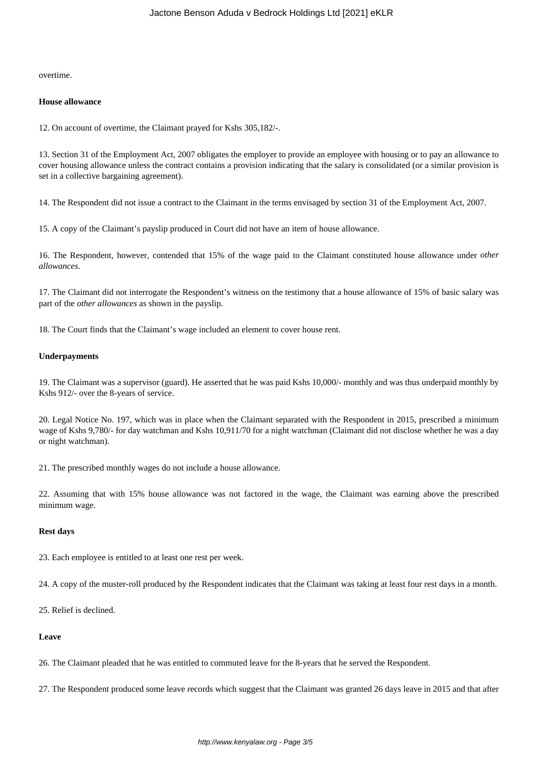overtime.

## **House allowance**

12. On account of overtime, the Claimant prayed for Kshs 305,182/-.

13. Section 31 of the Employment Act, 2007 obligates the employer to provide an employee with housing or to pay an allowance to cover housing allowance unless the contract contains a provision indicating that the salary is consolidated (or a similar provision is set in a collective bargaining agreement).

14. The Respondent did not issue a contract to the Claimant in the terms envisaged by section 31 of the Employment Act, 2007.

15. A copy of the Claimant's payslip produced in Court did not have an item of house allowance.

16. The Respondent, however, contended that 15% of the wage paid to the Claimant constituted house allowance under *other allowances*.

17. The Claimant did not interrogate the Respondent's witness on the testimony that a house allowance of 15% of basic salary was part of the *other allowances* as shown in the payslip.

18. The Court finds that the Claimant's wage included an element to cover house rent.

## **Underpayments**

19. The Claimant was a supervisor (guard). He asserted that he was paid Kshs 10,000/- monthly and was thus underpaid monthly by Kshs 912/- over the 8-years of service.

20. Legal Notice No. 197, which was in place when the Claimant separated with the Respondent in 2015, prescribed a minimum wage of Kshs 9,780/- for day watchman and Kshs 10,911/70 for a night watchman (Claimant did not disclose whether he was a day or night watchman).

21. The prescribed monthly wages do not include a house allowance.

22. Assuming that with 15% house allowance was not factored in the wage, the Claimant was earning above the prescribed minimum wage.

#### **Rest days**

23. Each employee is entitled to at least one rest per week.

24. A copy of the muster-roll produced by the Respondent indicates that the Claimant was taking at least four rest days in a month.

25. Relief is declined.

#### **Leave**

26. The Claimant pleaded that he was entitled to commuted leave for the 8-years that he served the Respondent.

27. The Respondent produced some leave records which suggest that the Claimant was granted 26 days leave in 2015 and that after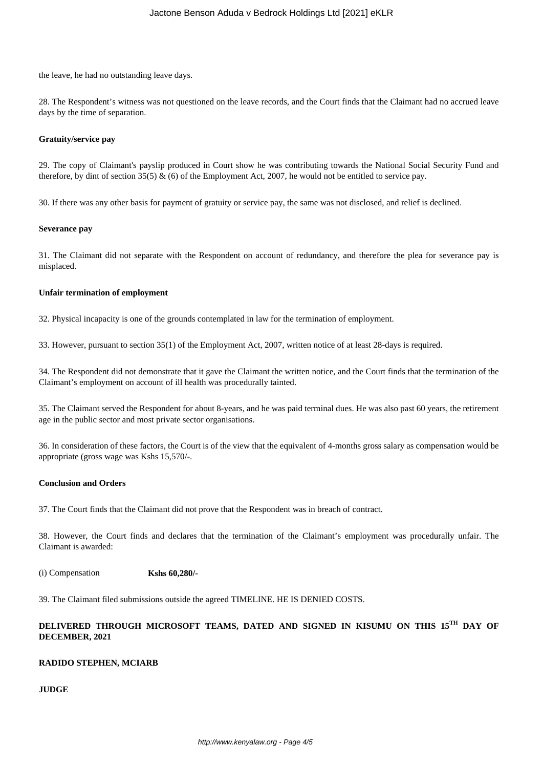the leave, he had no outstanding leave days.

28. The Respondent's witness was not questioned on the leave records, and the Court finds that the Claimant had no accrued leave days by the time of separation.

#### **Gratuity/service pay**

29. The copy of Claimant's payslip produced in Court show he was contributing towards the National Social Security Fund and therefore, by dint of section 35(5)  $\&$  (6) of the Employment Act, 2007, he would not be entitled to service pay.

30. If there was any other basis for payment of gratuity or service pay, the same was not disclosed, and relief is declined.

#### **Severance pay**

31. The Claimant did not separate with the Respondent on account of redundancy, and therefore the plea for severance pay is misplaced.

#### **Unfair termination of employment**

32. Physical incapacity is one of the grounds contemplated in law for the termination of employment.

33. However, pursuant to section 35(1) of the Employment Act, 2007, written notice of at least 28-days is required.

34. The Respondent did not demonstrate that it gave the Claimant the written notice, and the Court finds that the termination of the Claimant's employment on account of ill health was procedurally tainted.

35. The Claimant served the Respondent for about 8-years, and he was paid terminal dues. He was also past 60 years, the retirement age in the public sector and most private sector organisations.

36. In consideration of these factors, the Court is of the view that the equivalent of 4-months gross salary as compensation would be appropriate (gross wage was Kshs 15,570/-.

#### **Conclusion and Orders**

37. The Court finds that the Claimant did not prove that the Respondent was in breach of contract.

38. However, the Court finds and declares that the termination of the Claimant's employment was procedurally unfair. The Claimant is awarded:

(i) Compensation **Kshs 60,280/-**

39. The Claimant filed submissions outside the agreed TIMELINE. HE IS DENIED COSTS.

# **DELIVERED THROUGH MICROSOFT TEAMS, DATED AND SIGNED IN KISUMU ON THIS 15TH DAY OF DECEMBER, 2021**

# **RADIDO STEPHEN, MCIARB**

## **JUDGE**